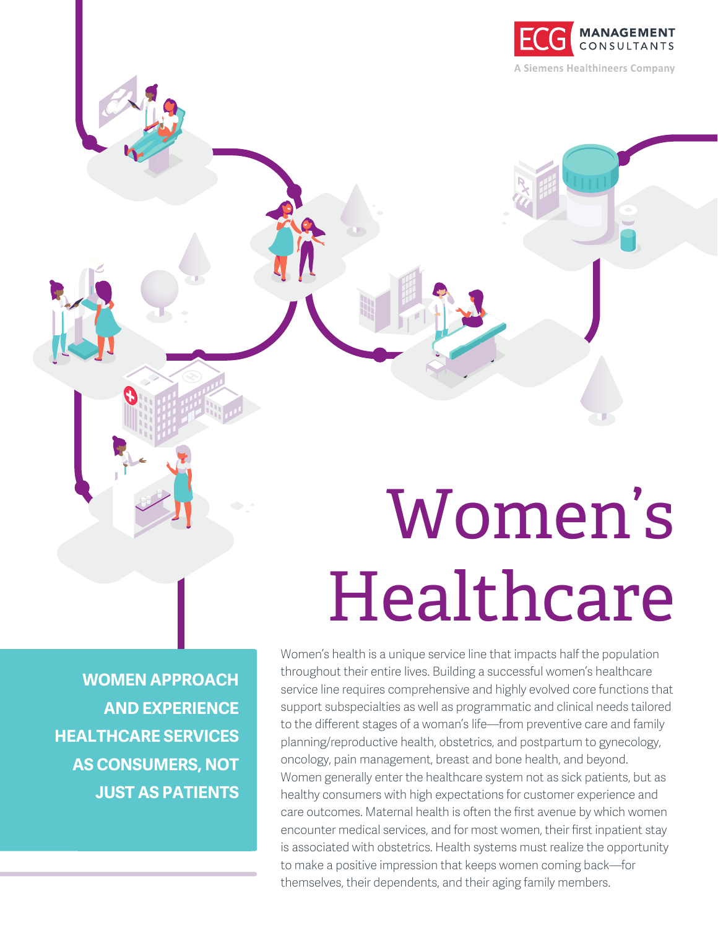

# Women's Healthcare

**WOMEN APPROACH AND EXPERIENCE HEALTHCARE SERVICES AS CONSUMERS, NOT JUST AS PATIENTS** Women's health is a unique service line that impacts half the population throughout their entire lives. Building a successful women's healthcare service line requires comprehensive and highly evolved core functions that support subspecialties as well as programmatic and clinical needs tailored to the different stages of a woman's life—from preventive care and family planning/reproductive health, obstetrics, and postpartum to gynecology, oncology, pain management, breast and bone health, and beyond. Women generally enter the healthcare system not as sick patients, but as healthy consumers with high expectations for customer experience and care outcomes. Maternal health is often the first avenue by which women encounter medical services, and for most women, their first inpatient stay is associated with obstetrics. Health systems must realize the opportunity to make a positive impression that keeps women coming back—for themselves, their dependents, and their aging family members.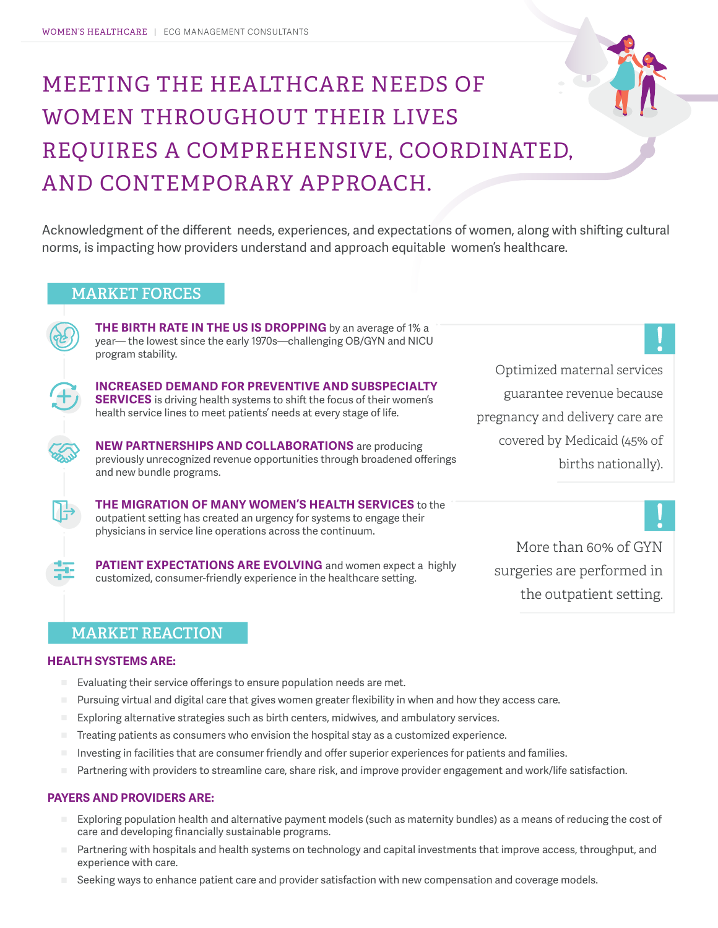## MEETING THE HEALTHCARE NEEDS OF WOMEN THROUGHOUT THEIR LIVES REQUIRES A COMPREHENSIVE, COORDINATED, AND CONTEMPORARY APPROACH.

Acknowledgment of the different needs, experiences, and expectations of women, along with shifting cultural norms, is impacting how providers understand and approach equitable women's healthcare.

#### **MARKET FORCES**

**THE BIRTH RATE IN THE US IS DROPPING** by an average of 1% a year— the lowest since the early 1970s—challenging OB/GYN and NICU program stability.



**INCREASED DEMAND FOR PREVENTIVE AND SUBSPECIALTY SERVICES** is driving health systems to shift the focus of their women's health service lines to meet patients' needs at every stage of life.

**NEW PARTNERSHIPS AND COLLABORATIONS** are producing previously unrecognized revenue opportunities through broadened offerings and new bundle programs.

**THE MIGRATION OF MANY WOMEN'S HEALTH SERVICES** to the outpatient setting has created an urgency for systems to engage their physicians in service line operations across the continuum.

**PATIENT EXPECTATIONS ARE EVOLVING** and women expect a highly customized, consumer-friendly experience in the healthcare setting.

Optimized maternal services guarantee revenue because pregnancy and delivery care are covered by Medicaid (45% of births nationally).

More than 60% of GYN surgeries are performed in the outpatient setting.

#### **MARKET REACTION**

#### **HEALTH SYSTEMS ARE:**

- Evaluating their service offerings to ensure population needs are met.
- Pursuing virtual and digital care that gives women greater flexibility in when and how they access care.
- Exploring alternative strategies such as birth centers, midwives, and ambulatory services.
- Treating patients as consumers who envision the hospital stay as a customized experience.
- Investing in facilities that are consumer friendly and offer superior experiences for patients and families.
- Partnering with providers to streamline care, share risk, and improve provider engagement and work/life satisfaction.

#### **PAYERS AND PROVIDERS ARE:**

- Exploring population health and alternative payment models (such as maternity bundles) as a means of reducing the cost of care and developing financially sustainable programs.
- Partnering with hospitals and health systems on technology and capital investments that improve access, throughput, and experience with care.
- Seeking ways to enhance patient care and provider satisfaction with new compensation and coverage models.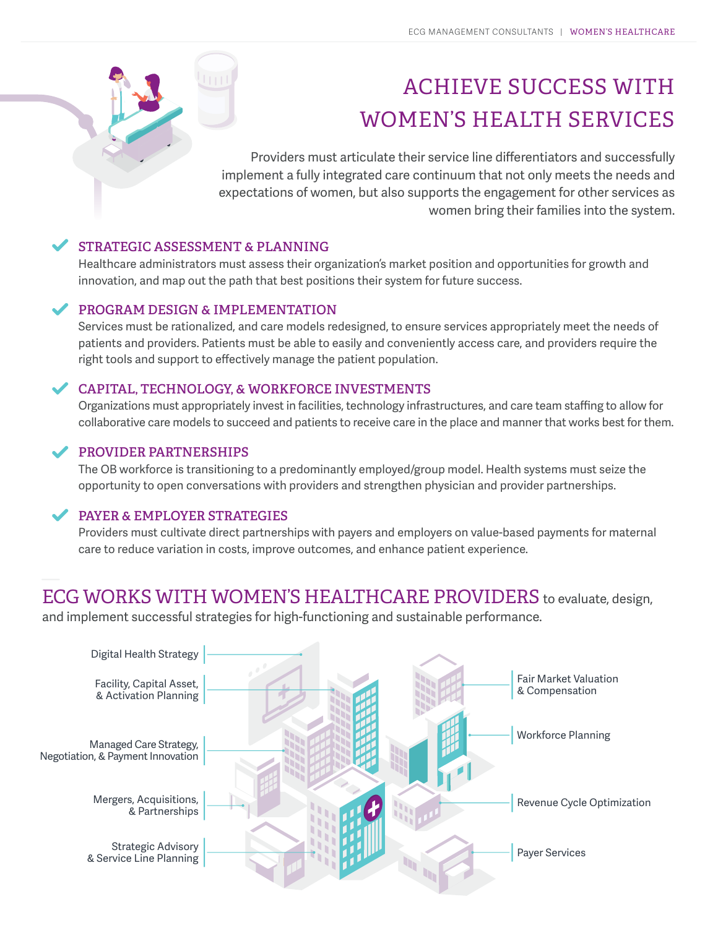### ACHIEVE SUCCESS WITH WOMEN'S HEALTH SERVICES

Providers must articulate their service line differentiators and successfully implement a fully integrated care continuum that not only meets the needs and expectations of women, but also supports the engagement for other services as women bring their families into the system.

#### **STRATEGIC ASSESSMENT & PLANNING**

Healthcare administrators must assess their organization's market position and opportunities for growth and innovation, and map out the path that best positions their system for future success.

#### **PROGRAM DESIGN & IMPLEMENTATION**

Services must be rationalized, and care models redesigned, to ensure services appropriately meet the needs of patients and providers. Patients must be able to easily and conveniently access care, and providers require the right tools and support to effectively manage the patient population.

#### **CAPITAL, TECHNOLOGY, & WORKFORCE INVESTMENTS**

Organizations must appropriately invest in facilities, technology infrastructures, and care team staffing to allow for collaborative care models to succeed and patients to receive care in the place and manner that works best for them.

#### **PROVIDER PARTNERSHIPS**

The OB workforce is transitioning to a predominantly employed/group model. Health systems must seize the opportunity to open conversations with providers and strengthen physician and provider partnerships.

#### **PAYER & EMPLOYER STRATEGIES**

Providers must cultivate direct partnerships with payers and employers on value-based payments for maternal care to reduce variation in costs, improve outcomes, and enhance patient experience.

#### ECG WORKS WITH WOMEN'S HEALTHCARE PROVIDERS to evaluate, design,

and implement successful strategies for high-functioning and sustainable performance.